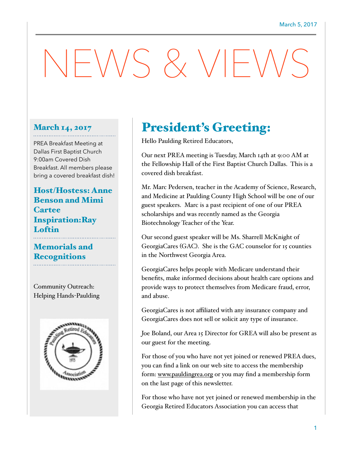# $NENSS$   $X$   $VF$

#### March 14, 2017

PREA Breakfast Meeting at Dallas First Baptist Church 9:00am Covered Dish Breakfast. All members please bring a covered breakfast dish!

Host/Hostess: Anne Benson and Mimi **Cartee** Inspiration:Ray Loftin

### Memorials and **Recognitions**

Community Outreach: Helping Hands-Paulding



## President's Greeting:

Hello Paulding Retired Educators,

Our next PREA meeting is Tuesday, March 14th at 9:00 AM at the Fellowship Hall of the First Baptist Church Dallas. This is a covered dish breakfast.

Mr. Marc Pedersen, teacher in the Academy of Science, Research, and Medicine at Paulding County High School will be one of our guest speakers. Marc is a past recipient of one of our PREA scholarships and was recently named as the Georgia Biotechnology Teacher of the Year.

Our second guest speaker will be Ms. Sharrell McKnight of GeorgiaCares (GAC). She is the GAC counselor for 15 counties in the Northwest Georgia Area.

GeorgiaCares helps people with Medicare understand their benefits, make informed decisions about health care options and provide ways to protect themselves from Medicare fraud, error, and abuse.

GeorgiaCares is not affiliated with any insurance company and GeorgiaCares does not sell or solicit any type of insurance.

Joe Boland, our Area 15 Director for GREA will also be present as our guest for the meeting.

For those of you who have not yet joined or renewed PREA dues, you can find a link on our web site to access the membership form: [www.pauldingrea.org](http://www.pauldingrea.org) or you may find a membership form on the last page of this newsletter.

For those who have not yet joined or renewed membership in the Georgia Retired Educators Association you can access that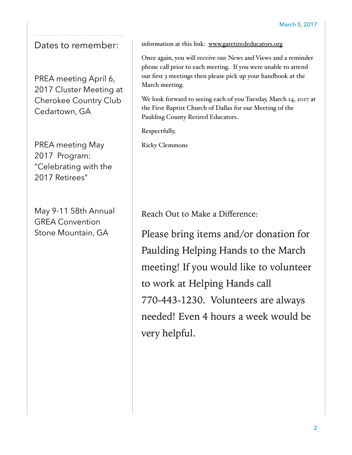## Dates to remember:

PREA meeting April 6, 2017 Cluster Meeting at Cherokee Country Club Cedartown, GA

PREA meeting May 2017 Program: "Celebrating with the 2017 Retirees"

May 9-11 58th Annual GREA Convention Stone Mountain, GA

information at this link: [www.garetirededucators.org](http://www.garetirededucators.org)

Once again, you will receive our News and Views and a reminder phone call prior to each meeting. If you were unable to attend our first 3 meetings then please pick up your handbook at the March meeting.

We look forward to seeing each of you Tuesday, March 14, 2017 at the First Baptist Church of Dallas for our Meeting of the Paulding County Retired Educators.

Respectfully,

Ricky Clemmons

Reach Out to Make a Difference:

Please bring items and/or donation for Paulding Helping Hands to the March meeting! If you would like to volunteer to work at Helping Hands call 770-443-1230. Volunteers are always needed! Even 4 hours a week would be very helpful.